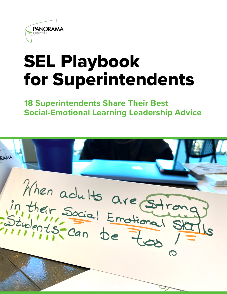

# SEL Playbook for Superintendents

**18 Superintendents Share Their Best Social-Emotional Learning Leadership Advice**

RAM When adults are Strong<br>in their Social Emotional State<br>Students-Can be too 1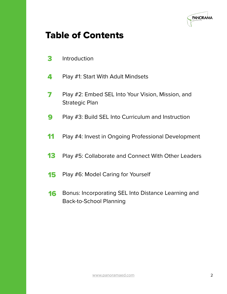

### Table of Contents

- [Introduction](#page-2-0)
- [Play #1: Start With Adult Mindsets](#page-3-0)
- Play #2: Embed SEL Into Your Vision, Mission, and Strategic Plan
- [Play #3: Build SEL Into Curriculum and Instruction](#page-8-0)
- [Play #4: Invest in Ongoing Professional Development](#page-10-0)
- [Play #5: Collaborate and Connect With Other Leaders](#page-12-0)
- [Play #6: Model Caring for Yourself](#page-14-0)
- Bonus: Incorporating SEL Into Distance Learning and Back-to-School Planning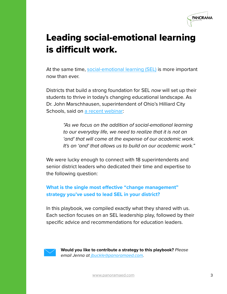

## <span id="page-2-0"></span>Leading social-emotional learning is difficult work.

At the same time, [social-emotional learning \(SEL\)](http://www.panoramaed.com/blog/guide-to-core-sel-competencies#what-is-sel) is more important now than ever.

Districts that build a strong foundation for SEL *now* will set up their students to thrive in today's changing educational landscape. As Dr. John Marschhausen, superintendent of Ohio's Hilliard City Schools, said on [a recent webinar](http://go.panoramaed.com/webinar/incorporating-sel-planning):

> *"As we focus on the addition of social-emotional learning to our everyday life, we need to realize that it is not an 'and' that will come at the expense of our academic work. It's an 'and' that allows us to build on our academic work."*

We were lucky enough to connect with 18 superintendents and senior district leaders who dedicated their time and expertise to the following question:

### **What is the single most effective "change management" strategy you've used to lead SEL in your district?**

In this playbook, we compiled exactly what they shared with us. Each section focuses on an SEL leadership play, followed by their specific advice and recommendations for education leaders.



**Would you like to contribute a strategy to this playbook?** *Please email Jenna at [jbuckle@panoramaed.com.](mailto:jbuckle@panoramaed.com)*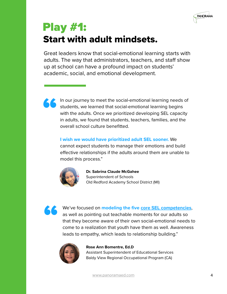

## <span id="page-3-0"></span>Play #1: Start with adult mindsets.

Great leaders know that social-emotional learning starts with adults. The way that administrators, teachers, and staff show up at school can have a profound impact on students' academic, social, and emotional development.



In our journey to meet the social-emotional learning needs of students, we learned that social-emotional learning begins with the adults. Once we prioritized developing SEL capacity in adults, we found that students, teachers, families, and the overall school culture benefitted.

### **I wish we would have prioritized adult SEL sooner.** We

cannot expect students to manage their emotions and build effective relationships if the adults around them are unable to model this process."



**Dr. Sabrina Claude McGahee** Superintendent of Schools Old Redford Academy School District (MI)



" We've focused on **modeling the five [core SEL competencies](https://www.panoramaed.com/blog/guide-to-core-sel-competencies)**, as well as pointing out teachable moments for our adults so that they become aware of their own social-emotional needs to come to a realization that youth have them as well. Awareness leads to empathy, which leads to relationship building."



#### **Rose Ann Bomentre, Ed.D**

Assistant Superintendent of Educational Services Baldy View Regional Occupational Program (CA)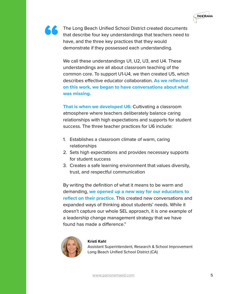



We call these understandings U1, U2, U3, and U4. These understandings are all about classroom teaching of the common core. To support U1-U4, we then created U5, which describes effective educator collaboration. **As we reflected on this work, we began to have conversations about what was missing.** 

**That is when we developed U6: Cultivating a classroom** atmosphere where teachers deliberately balance caring relationships with high expectations and supports for student success. The three teacher practices for U6 include:

- 1. Establishes a classroom climate of warm, caring relationships
- 2. Sets high expectations and provides necessary supports for student success
- 3. Creates a safe learning environment that values diversity, trust, and respectful communication

By writing the definition of what it means to be warm and demanding, **we opened up a new way for our educators to reflect on their practice**. This created new conversations and expanded ways of thinking about students' needs. While it doesn't capture our whole SEL approach, it is one example of a leadership change management strategy that we have found has made a difference."



#### **Kristi Kahl**

Assistant Superintendent, Research & School Improvement Long Beach Unified School District (CA)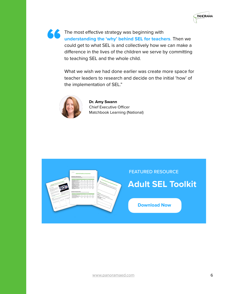

" The most effective strategy was beginning with **understanding the 'why' behind SEL for teachers**. Then we could get to what SEL is and collectively how we can make a difference in the lives of the children we serve by committing to teaching SEL and the whole child.

> What we wish we had done earlier was create more space for teacher leaders to research and decide on the initial 'how' of the implementation of SEL."



**Dr. Amy Swann** Chief Executive Officer Matchbook Learning (National)

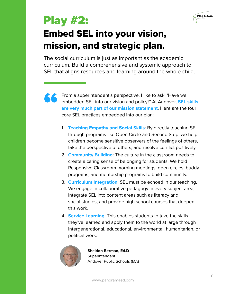

## <span id="page-6-0"></span>Play #2: Embed SEL into your vision, mission, and strategic plan.

The social curriculum is just as important as the academic curriculum. Build a comprehensive and systemic approach to SEL that aligns resources and learning around the whole child.



From a superintendent's perspective, I like to ask, 'Have we embedded SEL into our vision and policy?' At Andover, **SEL skills are very much part of our mission statement**. Here are the four core SEL practices embedded into our plan:

- 1. **Teaching Empathy and Social Skills**: By directly teaching SEL through programs like Open Circle and Second Step, we help children become sensitive observers of the feelings of others, take the perspective of others, and resolve conflict positively.
- 2. **Community Building**: The culture in the classroom needs to create a caring sense of belonging for students. We hold Responsive Classroom morning meetings, open circles, buddy programs, and mentorship programs to build community.
- 3. **Curriculum Integration**: SEL must be echoed in our teaching. We engage in collaborative pedagogy in every subject area, integrate SEL into content areas such as literacy and social studies, and provide high school courses that deepen this work.
- 4. **Service Learning**: This enables students to take the skills they've learned and apply them to the world at large through intergenerational, educational, environmental, humanitarian, or political work.



**Sheldon Berman, Ed.D Superintendent** Andover Public Schools (MA)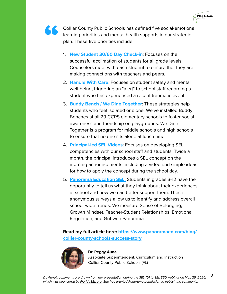

**TACCOLLIER COUNTY Public Schools has defined five social-emotional** learning priorities and mental health supports in our strategic plan. These five priorities include:

- 1. **New Student 30/60 Day Check-in**: Focuses on the successful acclimation of students for all grade levels. Counselors meet with each student to ensure that they are making connections with teachers and peers.
- 2. **Handle With Care**: Focuses on student safety and mental well-being, triggering an "alert" to school staff regarding a student who has experienced a recent traumatic event.
- 3. **Buddy Bench / We Dine Together**: These strategies help students who feel isolated or alone. We've installed Buddy Benches at all 29 CCPS elementary schools to foster social awareness and friendship on playgrounds. We Dine Together is a program for middle schools and high schools to ensure that no one sits alone at lunch time.
- 4. **Principal-led SEL Videos**: Focuses on developing SEL competencies with our school staff and students. Twice a month, the principal introduces a SEL concept on the morning announcements, including a video and simple ideas for how to apply the concept during the school day.
- 5. **[Panorama Education SEL:](http://www.panoramaed.com/social-emotional-learning)** Students in grades 3-12 have the opportunity to tell us what they think about their experiences at school and how we can better support them. These anonymous surveys allow us to identify and address overall school-wide trends. We measure Sense of Belonging, Growth Mindset, Teacher-Student Relationships, Emotional Regulation, and Grit with Panorama.

**Read my full article here: [https://www.panoramaed.com/blog/](https://www.panoramaed.com/blog/collier-county-schools-success-story) [collier-county-schools-success-story](https://www.panoramaed.com/blog/collier-county-schools-success-story)**



#### **Dr. Peggy Aune**

Associate Superintendent, Curriculum and Instruction Collier County Public Schools (FL)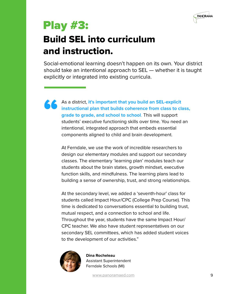

## <span id="page-8-0"></span>Play #3:

## Build SEL into curriculum and instruction.

Social-emotional learning doesn't happen on its own. Your district should take an intentional approach to SEL — whether it is taught explicitly or integrated into existing curricula.

As a district, **it's important that you build an SEL-explicit instructional plan that builds coherence from class to clargrade to grade, and school to school.** This will support students' executive functioning skills ove **instructional plan that builds coherence from class to class, grade to grade, and school to school**. This will support students' executive functioning skills over time. You need an intentional, integrated approach that embeds essential components aligned to child and brain development.

> At Ferndale, we use the work of incredible researchers to design our elementary modules and support our secondary classes. The elementary 'learning plan' modules teach our students about the brain states, growth mindset, executive function skills, and mindfulness. The learning plans lead to building a sense of ownership, trust, and strong relationships.

> At the secondary level, we added a 'seventh-hour' class for students called Impact Hour/CPC (College Prep Course). This time is dedicated to conversations essential to building trust, mutual respect, and a connection to school and life. Throughout the year, students have the same Impact Hour/ CPC teacher. We also have student representatives on our secondary SEL committees, which has added student voices to the development of our activities."



**Dina Rocheleau**  Assistant Superintendent Ferndale Schools (MI)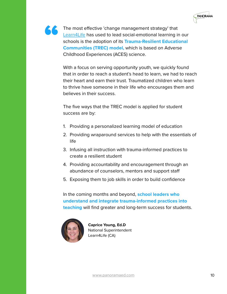

The most effective 'change management strategy' that [Learn4Life](https://learn4life.org/) has used to lead social-emotional learning in our schools is the adoption of its **Trauma-Resilient Educational Communities (TREC) model,** which is based on Adverse Childhood Experiences (ACES) science.

With a focus on serving opportunity youth, we quickly found that in order to reach a student's head to learn, we had to reach their heart and earn their trust. Traumatized children who learn to thrive have someone in their life who encourages them and believes in their success.

The five ways that the TREC model is applied for student success are by:

- 1. Providing a personalized learning model of education
- 2. Providing wraparound services to help with the essentials of life
- 3. Infusing all instruction with trauma-informed practices to create a resilient student
- 4. Providing accountability and encouragement through an abundance of counselors, mentors and support staff
- 5. Exposing them to job skills in order to build confidence

In the coming months and beyond, **school leaders who understand and integrate trauma-informed practices into teaching** will find greater and long-term success for students.



**Caprice Young, Ed.D** National Superintendent Learn4Life (CA)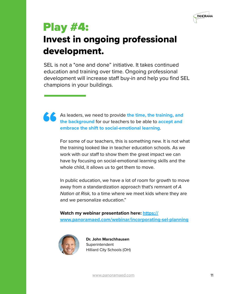

## <span id="page-10-0"></span>Play #4: Invest in ongoing professional development.

SEL is not a "one and done" initiative. It takes continued education and training over time. Ongoing professional development will increase staff buy-in and help you find SEL champions in your buildings.



As leaders, we need to provide **the time, the training, and the background** for our teachers to be able to **accept and embrace the shift to social-emotional learning**.

For some of our teachers, this is something new. It is not what the training looked like in teacher education schools. As we work with our staff to show them the great impact we can have by focusing on social-emotional learning skills and the whole child, it allows us to get them to move.

In public education, we have a lot of room for growth to move away from a standardization approach that's remnant of *A Nation at Risk,* to a time where we meet kids where they are and we personalize education."

**Watch my webinar presentation here: [https://](https://www.panoramaed.com/webinar/incorporating-sel-planning) [www.panoramaed.com/webinar/incorporating-sel-planning](https://www.panoramaed.com/webinar/incorporating-sel-planning)**



**Dr. John Marschhausen Superintendent** Hilliard City Schools (OH)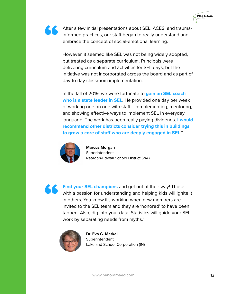

After a few initial presentations about SEL, ACES, and traumainformed practices, our staff began to really understand and embrace the concept of social-emotional learning.

However, it seemed like SEL was not being widely adopted, but treated as a separate curriculum. Principals were delivering curriculum and activities for SEL days, but the initiative was not incorporated across the board and as part of day-to-day classroom implementation.

In the fall of 2019, we were fortunate to **gain an SEL coach who is a state leader in SEL**. He provided one day per week of working one on one with staff—complementing, mentoring, and showing effective ways to implement SEL in everyday language. The work has been really paying dividends. **I would recommend other districts consider trying this in buildings to grow a core of staff who are deeply engaged in SEL**."



**Marcus Morgan** Superintendent Reardan-Edwall School District (WA)

**Find your SEL champions** and get out of their way! Those with a passion for understanding and helping kids will ignit in others. You know it's working when new members are invited to the SEL team and they are 'honored' to with a passion for understanding and helping kids will ignite it in others. You know it's working when new members are invited to the SEL team and they are 'honored' to have been tapped. Also, dig into your data. Statistics will guide your SEL work by separating needs from myths."



**Dr. Eva G. Merkel Superintendent** Lakeland School Corporation (IN)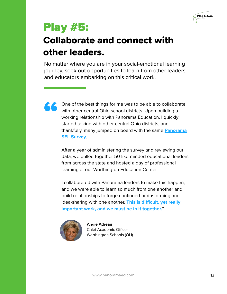

## <span id="page-12-0"></span>Play #5:

## Collaborate and connect with other leaders.

No matter where you are in your social-emotional learning journey, seek out opportunities to learn from other leaders and educators embarking on this critical work.



One of the best things for me was to be able to collaborate with other central Ohio school districts. Upon building a working relationship with Panorama Education, I quickly started talking with other central Ohio districts, and thankfully, many jumped on board with the same **[Panorama](http://www.panoramaed.com/social-emotional-learning)  [SEL Survey](http://www.panoramaed.com/social-emotional-learning)**.

After a year of administering the survey and reviewing our data, we pulled together 50 like-minded educational leaders from across the state and hosted a day of professional learning at our Worthington Education Center.

I collaborated with Panorama leaders to make this happen, and we were able to learn so much from one another and build relationships to forge continued brainstorming and idea-sharing with one another. **This is difficult, yet really important work, and we must be in it together.**"



**Angie Adrean**  Chief Academic Officer Worthington Schools (OH)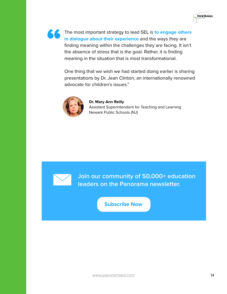

" The most important strategy to lead SEL is **to engage others in dialogue about their experience** and the ways they are finding meaning within the challenges they are facing. It isn't the absence of stress that is the goal. Rather, it is finding meaning in the situation that is most transformational.

> One thing that we wish we had started doing earlier is sharing presentations by Dr. Jean Clinton, an internationally renowned advocate for children's issues."



**Dr. Mary Ann Reilly** Assistant Superintendent for Teaching and Learning Newark Public Schools (NJ)



**[Join our community of 50,000+ education](https://go.panoramaed.com/newsletter)  leaders on the Panorama newsletter.**

**Subscribe Now**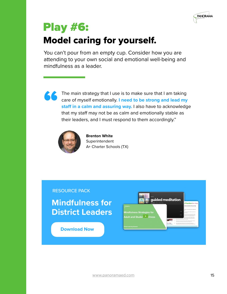

## <span id="page-14-0"></span>Play #6: Model caring for yourself.

You can't pour from an empty cup. Consider how you are attending to your own social and emotional well-being and mindfulness as a leader.



The main strategy that I use is to make sure that I am taking care of myself emotionally. **I need to be strong and lead my staff in a calm and assuring way.** I also have to acknowledge that my staff may not be as calm and emotionally stable as their leaders, and I must respond to them accordingly."



**Brenton White Superintendent** A+ Charter Schools (TX)

RESOURCE PACK

**[Mindfulness for](https://go.panoramaed.com/mindfulness-resource-pack)  District Leaders**

**Download Now**

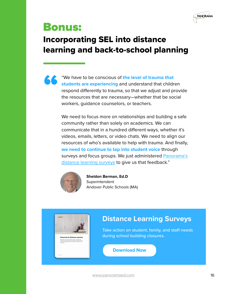

## <span id="page-15-0"></span>Bonus:

### Incorporating SEL into distance learning and back-to-school planning

**EXECUTE:** "We have to be conscious of **the level of trauma that**<br> **Students are experiencing** and understand that childr<br>
respond differently to trauma, so that we adjust and pr<br>
the resources that are necessary—whether t **students are experiencing** and understand that children respond differently to trauma, so that we adjust and provide the resources that are necessary—whether that be social workers, guidance counselors, or teachers.

> We need to focus more on relationships and building a safe community rather than solely on academics. We can communicate that in a hundred different ways, whether it's videos, emails, letters, or video chats. We need to align our resources of who's available to help with trauma. And finally, **we need to continue to tap into student voice** through surveys and focus groups. We just administered [Panorama's](http://www.panoramaed.com/distance-learning-surveys)  [distance learning surveys](http://www.panoramaed.com/distance-learning-surveys) to give us that feedback."



**Sheldon Berman, Ed.D**  Superintendent Andover Public Schools (MA)



### **[Distance Learning Surveys](http://www.panoramaed.com/distance-learning-surveys)**

Take action on student, family, and staff needs during school building closures.

**Download Now**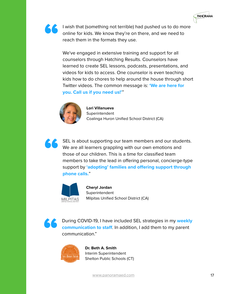



I wish that (something not terrible) had pushed us to do more online for kids. We know they're on there, and we need to reach them in the formats they use. online for kids. We know they're on there, and we need to reach them in the formats they use.

> We've engaged in extensive training and support for all counselors through Hatching Results. Counselors have learned to create SEL lessons, podcasts, presentations, and videos for kids to access. One counselor is even teaching kids how to do chores to help around the house through short Twitter videos. The common message is: **'We are here for you. Call us if you need us!'**"



**Lori Villanueva Superintendent** Coalinga Huron Unified School District (CA)



SEL is about supporting our team members and our students. We are all learners grappling with our own emotions and those of our children. This is a time for classified team members to take the lead in offering personal, concierge-type support by **'adopting' families and offering support through phone calls.**"



**Cheryl Jordan Superintendent** Milpitas Unified School District (CA)



**Example 19 During COVID-19, I have included SEL strategies in my weekly communication to staff.** In addition, I add them to my parent communication." **communication to staff**. In addition, I add them to my parent communication."



**Dr. Beth A. Smith** Interim Superintendent Shelton Public Schools (CT)